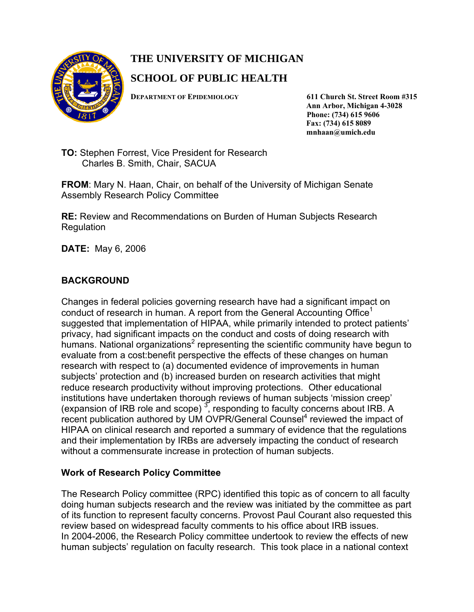

# **THE UNIVERSITY OF MICHIGAN**

## **SCHOOL OF PUBLIC HEALTH**

**DEPARTMENT OF EPIDEMIOLOGY 611 Church St. Street Room #315 Ann Arbor, Michigan 4-3028 Phone: (734) 615 9606 Fax: (734) 615 8089 mnhaan@umich.edu** 

**TO:** Stephen Forrest, Vice President for Research Charles B. Smith, Chair, SACUA

**FROM**: Mary N. Haan, Chair, on behalf of the University of Michigan Senate Assembly Research Policy Committee

**RE:** Review and Recommendations on Burden of Human Subjects Research Regulation

**DATE:** May 6, 2006

## **BACKGROUND**

Changes in federal policies governing research have had a significant impact on conduct of research in human. A report from the General Accounting Office<sup>1</sup> suggested that implementation of HIPAA, while primarily intended to protect patients' privacy, had significant impacts on the conduct and costs of doing research with humans. National organizations<sup>2</sup> representing the scientific community have begun to evaluate from a cost:benefit perspective the effects of these changes on human research with respect to (a) documented evidence of improvements in human subjects' protection and (b) increased burden on research activities that might reduce research productivity without improving protections. Other educational institutions have undertaken thorough reviews of human subjects 'mission creep' (expansion of IRB role and scope)  $3$ , responding to faculty concerns about IRB. A recent publication authored by UM OVPR/General Counsel<sup>4</sup> reviewed the impact of HIPAA on clinical research and reported a summary of evidence that the regulations and their implementation by IRBs are adversely impacting the conduct of research without a commensurate increase in protection of human subjects.

## **Work of Research Policy Committee**

The Research Policy committee (RPC) identified this topic as of concern to all faculty doing human subjects research and the review was initiated by the committee as part of its function to represent faculty concerns. Provost Paul Courant also requested this review based on widespread faculty comments to his office about IRB issues. In 2004-2006, the Research Policy committee undertook to review the effects of new human subjects' regulation on faculty research. This took place in a national context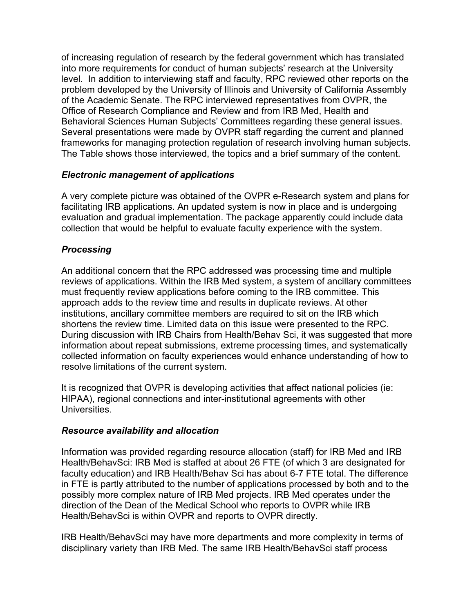of increasing regulation of research by the federal government which has translated into more requirements for conduct of human subjects' research at the University level. In addition to interviewing staff and faculty, RPC reviewed other reports on the problem developed by the University of Illinois and University of California Assembly of the Academic Senate. The RPC interviewed representatives from OVPR, the Office of Research Compliance and Review and from IRB Med, Health and Behavioral Sciences Human Subjects' Committees regarding these general issues. Several presentations were made by OVPR staff regarding the current and planned frameworks for managing protection regulation of research involving human subjects. The Table shows those interviewed, the topics and a brief summary of the content.

## *Electronic management of applications*

A very complete picture was obtained of the OVPR e-Research system and plans for facilitating IRB applications. An updated system is now in place and is undergoing evaluation and gradual implementation. The package apparently could include data collection that would be helpful to evaluate faculty experience with the system.

## *Processing*

An additional concern that the RPC addressed was processing time and multiple reviews of applications. Within the IRB Med system, a system of ancillary committees must frequently review applications before coming to the IRB committee. This approach adds to the review time and results in duplicate reviews. At other institutions, ancillary committee members are required to sit on the IRB which shortens the review time. Limited data on this issue were presented to the RPC. During discussion with IRB Chairs from Health/Behav Sci, it was suggested that more information about repeat submissions, extreme processing times, and systematically collected information on faculty experiences would enhance understanding of how to resolve limitations of the current system.

It is recognized that OVPR is developing activities that affect national policies (ie: HIPAA), regional connections and inter-institutional agreements with other Universities.

## *Resource availability and allocation*

Information was provided regarding resource allocation (staff) for IRB Med and IRB Health/BehavSci: IRB Med is staffed at about 26 FTE (of which 3 are designated for faculty education) and IRB Health/Behav Sci has about 6-7 FTE total. The difference in FTE is partly attributed to the number of applications processed by both and to the possibly more complex nature of IRB Med projects. IRB Med operates under the direction of the Dean of the Medical School who reports to OVPR while IRB Health/BehavSci is within OVPR and reports to OVPR directly.

IRB Health/BehavSci may have more departments and more complexity in terms of disciplinary variety than IRB Med. The same IRB Health/BehavSci staff process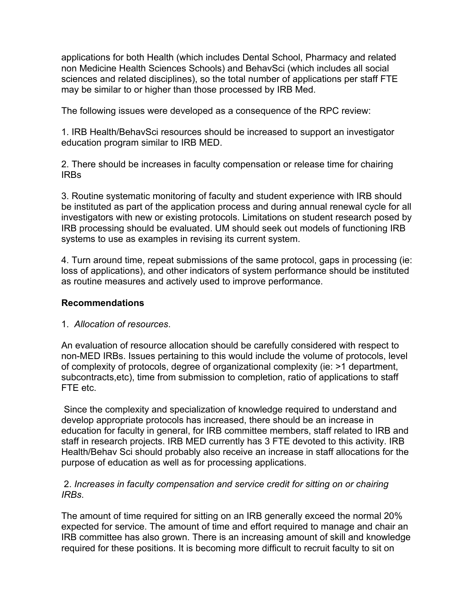applications for both Health (which includes Dental School, Pharmacy and related non Medicine Health Sciences Schools) and BehavSci (which includes all social sciences and related disciplines), so the total number of applications per staff FTE may be similar to or higher than those processed by IRB Med.

The following issues were developed as a consequence of the RPC review:

1. IRB Health/BehavSci resources should be increased to support an investigator education program similar to IRB MED.

2. There should be increases in faculty compensation or release time for chairing IRBs

3. Routine systematic monitoring of faculty and student experience with IRB should be instituted as part of the application process and during annual renewal cycle for all investigators with new or existing protocols. Limitations on student research posed by IRB processing should be evaluated. UM should seek out models of functioning IRB systems to use as examples in revising its current system.

4. Turn around time, repeat submissions of the same protocol, gaps in processing (ie: loss of applications), and other indicators of system performance should be instituted as routine measures and actively used to improve performance.

## **Recommendations**

## 1. *Allocation of resources*.

An evaluation of resource allocation should be carefully considered with respect to non-MED IRBs. Issues pertaining to this would include the volume of protocols, level of complexity of protocols, degree of organizational complexity (ie: >1 department, subcontracts,etc), time from submission to completion, ratio of applications to staff FTE etc.

 Since the complexity and specialization of knowledge required to understand and develop appropriate protocols has increased, there should be an increase in education for faculty in general, for IRB committee members, staff related to IRB and staff in research projects. IRB MED currently has 3 FTE devoted to this activity. IRB Health/Behav Sci should probably also receive an increase in staff allocations for the purpose of education as well as for processing applications.

## 2. *Increases in faculty compensation and service credit for sitting on or chairing IRBs*.

The amount of time required for sitting on an IRB generally exceed the normal 20% expected for service. The amount of time and effort required to manage and chair an IRB committee has also grown. There is an increasing amount of skill and knowledge required for these positions. It is becoming more difficult to recruit faculty to sit on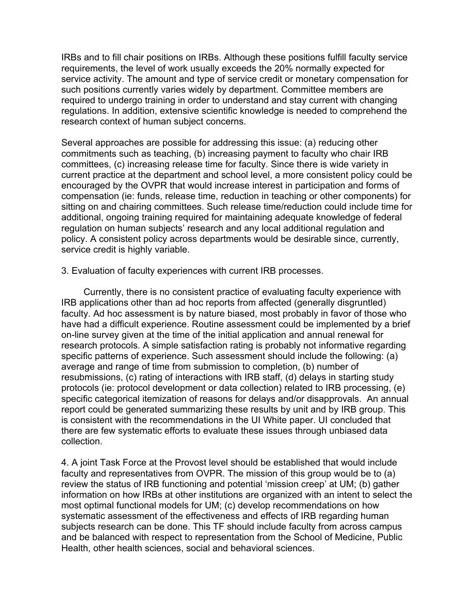IRBs and to fill chair positions on IRBs. Although these positions fulfill faculty service requirements, the level of work usually exceeds the 20% normally expected for service activity. The amount and type of service credit or monetary compensation for such positions currently varies widely by department. Committee members are required to undergo training in order to understand and stay current with changing regulations. In addition, extensive scientific knowledge is needed to comprehend the research context of human subject concerns.

Several approaches are possible for addressing this issue: (a) reducing other commitments such as teaching, (b) increasing payment to faculty who chair IRB committees, (c) increasing release time for faculty. Since there is wide variety in current practice at the department and school level, a more consistent policy could be encouraged by the OVPR that would increase interest in participation and forms of compensation (ie: funds, release time, reduction in teaching or other components) for sitting on and chairing committees. Such release time/reduction could include time for additional, ongoing training required for maintaining adequate knowledge of federal regulation on human subjects' research and any local additional regulation and policy. A consistent policy across departments would be desirable since, currently, service credit is highly variable.

3. Evaluation of faculty experiences with current IRB processes.

 Currently, there is no consistent practice of evaluating faculty experience with IRB applications other than ad hoc reports from affected (generally disgruntled) faculty. Ad hoc assessment is by nature biased, most probably in favor of those who have had a difficult experience. Routine assessment could be implemented by a brief on-line survey given at the time of the initial application and annual renewal for research protocols. A simple satisfaction rating is probably not informative regarding specific patterns of experience. Such assessment should include the following: (a) average and range of time from submission to completion, (b) number of resubmissions, (c) rating of interactions with IRB staff, (d) delays in starting study protocols (ie: protocol development or data collection) related to IRB processing, (e) specific categorical itemization of reasons for delays and/or disapprovals. An annual report could be generated summarizing these results by unit and by IRB group. This is consistent with the recommendations in the UI White paper. UI concluded that there are few systematic efforts to evaluate these issues through unbiased data collection.

4. A joint Task Force at the Provost level should be established that would include faculty and representatives from OVPR. The mission of this group would be to (a) review the status of IRB functioning and potential 'mission creep' at UM; (b) gather information on how IRBs at other institutions are organized with an intent to select the most optimal functional models for UM; (c) develop recommendations on how systematic assessment of the effectiveness and effects of IRB regarding human subjects research can be done. This TF should include faculty from across campus and be balanced with respect to representation from the School of Medicine, Public Health, other health sciences, social and behavioral sciences.